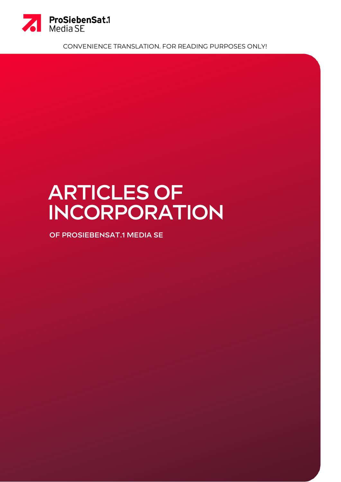

CONVENIENCE TRANSLATION. FOR READING PURPOSES ONLY!

# **Articles of Incorporation**

**of ProSiebenSat.1 Media SE**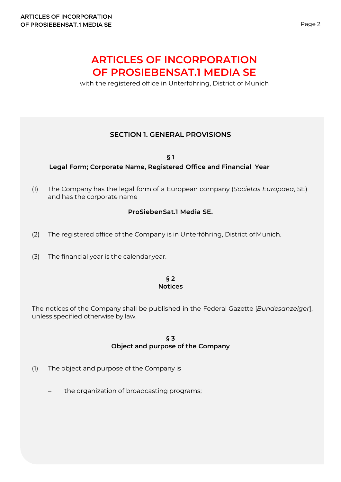# **ARTICLES OF INCORPORATION OF PROSIEBENSAT.1 MEDIA SE**

with the registered office in Unterföhring, District of Munich

# **SECTION 1. GENERAL PROVISIONS**

**§ 1 Legal Form; Corporate Name, Registered Office and Financial Year**

(1) The Company has the legal form of a European company (*Societas Europaea*, SE) and has the corporate name

# **ProSiebenSat.1 Media SE.**

- (2) The registered office of the Company is in Unterföhring, District ofMunich.
- (3) The financial year is the calendar year.

#### **§ 2 Notices**

The notices of the Company shall be published in the Federal Gazette [*Bundesanzeiger*], unless specified otherwise by law.

> **§ 3 Object and purpose of the Company**

- (1) The object and purpose of the Company is
	- the organization of broadcasting programs;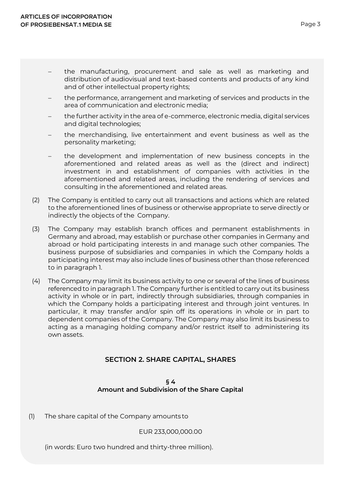- the manufacturing, procurement and sale as well as marketing and distribution of audiovisual and text-based contents and products of any kind and of other intellectual property rights;
- the performance, arrangement and marketing of services and products in the area of communication and electronic media;
- − the further activity in the area of e-commerce, electronic media, digital services and digital technologies;
- − the merchandising, live entertainment and event business as well as the personality marketing;
- the development and implementation of new business concepts in the aforementioned and related areas as well as the (direct and indirect) investment in and establishment of companies with activities in the aforementioned and related areas, including the rendering of services and consulting in the aforementioned and related areas.
- (2) The Company is entitled to carry out all transactions and actions which are related to the aforementioned lines of business or otherwise appropriate to serve directly or indirectly the objects of the Company.
- (3) The Company may establish branch offices and permanent establishments in Germany and abroad, may establish or purchase other companies in Germany and abroad or hold participating interests in and manage such other companies. The business purpose of subsidiaries and companies in which the Company holds a participating interest may also include lines of business other than those referenced to in paragraph 1.
- (4) The Company may limit its business activity to one or several of the lines of business referenced to in paragraph 1. The Company further is entitled to carry out its business activity in whole or in part, indirectly through subsidiaries, through companies in which the Company holds a participating interest and through joint ventures. In particular, it may transfer and/or spin off its operations in whole or in part to dependent companies of the Company. The Company may also limit its business to acting as a managing holding company and/or restrict itself to administering its own assets.

# **SECTION 2. SHARE CAPITAL, SHARES**

#### **§ 4 Amount and Subdivision of the Share Capital**

(1) The share capital of the Company amounts to

EUR 233,000,000.00

(in words: Euro two hundred and thirty-three million).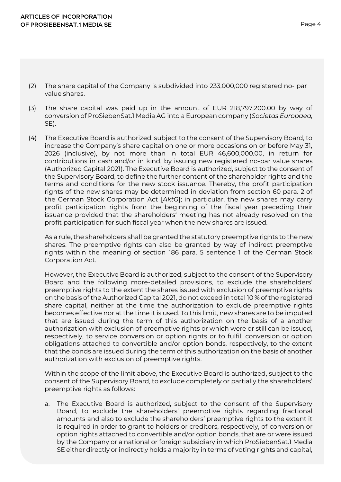- (2) The share capital of the Company is subdivided into 233,000,000 registered no- par value shares.
- (3) The share capital was paid up in the amount of EUR 218,797,200.00 by way of conversion of ProSiebenSat.1 Media AG into a European company (*Societas Europaea,*  SE).
- (4) The Executive Board is authorized, subject to the consent of the Supervisory Board, to increase the Company's share capital on one or more occasions on or before May 31, 2026 (inclusive), by not more than in total EUR 46,600,000.00, in return for contributions in cash and/or in kind, by issuing new registered no-par value shares (Authorized Capital 2021). The Executive Board is authorized, subject to the consent of the Supervisory Board, to define the further content of the shareholder rights and the terms and conditions for the new stock issuance. Thereby, the profit participation rights of the new shares may be determined in deviation from section 60 para. 2 of the German Stock Corporation Act [*AktG*]; in particular, the new shares may carry profit participation rights from the beginning of the fiscal year preceding their issuance provided that the shareholders' meeting has not already resolved on the profit participation for such fiscal year when the new shares are issued.

As a rule, the shareholders shall be granted the statutory preemptive rights to the new shares. The preemptive rights can also be granted by way of indirect preemptive rights within the meaning of section 186 para. 5 sentence 1 of the German Stock Corporation Act.

However, the Executive Board is authorized, subject to the consent of the Supervisory Board and the following more-detailed provisions, to exclude the shareholders' preemptive rights to the extent the shares issued with exclusion of preemptive rights on the basis of the Authorized Capital 2021, do not exceed in total 10 % of the registered share capital, neither at the time the authorization to exclude preemptive rights becomes effective nor at the time it is used. To this limit, new shares are to be imputed that are issued during the term of this authorization on the basis of a another authorization with exclusion of preemptive rights or which were or still can be issued, respectively, to service conversion or option rights or to fulfill conversion or option obligations attached to convertible and/or option bonds, respectively, to the extent that the bonds are issued during the term of this authorization on the basis of another authorization with exclusion of preemptive rights.

Within the scope of the limit above, the Executive Board is authorized, subject to the consent of the Supervisory Board, to exclude completely or partially the shareholders' preemptive rights as follows:

a. The Executive Board is authorized, subject to the consent of the Supervisory Board, to exclude the shareholders' preemptive rights regarding fractional amounts and also to exclude the shareholders' preemptive rights to the extent it is required in order to grant to holders or creditors, respectively, of conversion or option rights attached to convertible and/or option bonds, that are or were issued by the Company or a national or foreign subsidiary in which ProSiebenSat.1 Media SE either directly or indirectly holds a majority in terms of voting rights and capital,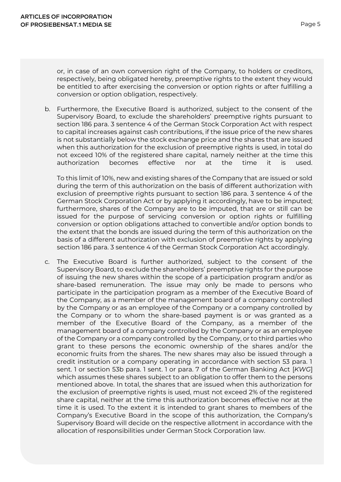or, in case of an own conversion right of the Company, to holders or creditors, respectively, being obligated hereby, preemptive rights to the extent they would be entitled to after exercising the conversion or option rights or after fulfilling a conversion or option obligation, respectively.

b. Furthermore, the Executive Board is authorized, subject to the consent of the Supervisory Board, to exclude the shareholders' preemptive rights pursuant to section 186 para. 3 sentence 4 of the German Stock Corporation Act with respect to capital increases against cash contributions, if the issue price of the new shares is not substantially below the stock exchange price and the shares that are issued when this authorization for the exclusion of preemptive rights is used, in total do not exceed 10% of the registered share capital, namely neither at the time this authorization becomes effective nor at the time it is used.

To this limit of 10%, new and existing shares of the Company that are issued or sold during the term of this authorization on the basis of different authorization with exclusion of preemptive rights pursuant to section 186 para. 3 sentence 4 of the German Stock Corporation Act or by applying it accordingly, have to be imputed; furthermore, shares of the Company are to be imputed, that are or still can be issued for the purpose of servicing conversion or option rights or fulfilling conversion or option obligations attached to convertible and/or option bonds to the extent that the bonds are issued during the term of this authorization on the basis of a different authorization with exclusion of preemptive rights by applying section 186 para. 3 sentence 4 of the German Stock Corporation Act accordingly.

c. The Executive Board is further authorized, subject to the consent of the Supervisory Board, to exclude the shareholders' preemptive rights for the purpose of issuing the new shares within the scope of a participation program and/or as share-based remuneration. The issue may only be made to persons who participate in the participation program as a member of the Executive Board of the Company, as a member of the management board of a company controlled by the Company or as an employee of the Company or a company controlled by the Company or to whom the share-based payment is or was granted as a member of the Executive Board of the Company, as a member of the management board of a company controlled by the Company or as an employee of the Company or a company controlled by the Company, or to third parties who grant to these persons the economic ownership of the shares and/or the economic fruits from the shares. The new shares may also be issued through a credit institution or a company operating in accordance with section 53 para. 1 sent. 1 or section 53b para. 1 sent. 1 or para. 7 of the German Banking Act [*KWG*] which assumes these shares subject to an obligation to offer them to the persons mentioned above. In total, the shares that are issued when this authorization for the exclusion of preemptive rights is used, must not exceed 2% of the registered share capital, neither at the time this authorization becomes effective nor at the time it is used. To the extent it is intended to grant shares to members of the Company's Executive Board in the scope of this authorization, the Company's Supervisory Board will decide on the respective allotment in accordance with the allocation of responsibilities under German Stock Corporation law.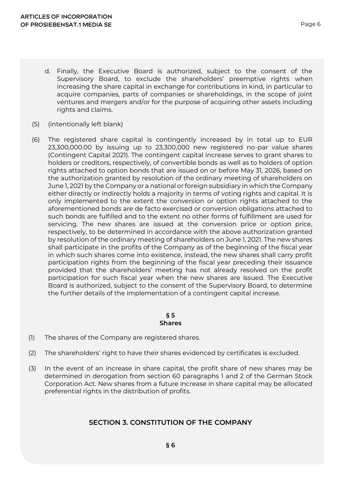- d. Finally, the Executive Board is authorized, subject to the consent of the Supervisory Board, to exclude the shareholders' preemptive rights when increasing the share capital in exchange for contributions in kind, in particular to acquire companies, parts of companies or shareholdings, in the scope of joint ventures and mergers and/or for the purpose of acquiring other assets including rights and claims.
- (5) (intentionally left blank)
- (6) The registered share capital is contingently increased by in total up to EUR 23,300,000.00 by issuing up to 23,300,000 new registered no-par value shares (Contingent Capital 2021). The contingent capital increase serves to grant shares to holders or creditors, respectively, of convertible bonds as well as to holders of option rights attached to option bonds that are issued on or before May 31, 2026, based on the authorization granted by resolution of the ordinary meeting of shareholders on June 1, 2021 by the Company or a national or foreign subsidiary in which the Company either directly or indirectly holds a majority in terms of voting rights and capital. It is only implemented to the extent the conversion or option rights attached to the aforementioned bonds are de facto exercised or conversion obligations attached to such bonds are fulfilled and to the extent no other forms of fulfillment are used for servicing. The new shares are issued at the conversion price or option price, respectively, to be determined in accordance with the above authorization granted by resolution of the ordinary meeting of shareholders on June 1, 2021. The new shares shall participate in the profits of the Company as of the beginning of the fiscal year in which such shares come into existence, instead, the new shares shall carry profit participation rights from the beginning of the fiscal year preceding their issuance provided that the shareholders' meeting has not already resolved on the profit participation for such fiscal year when the new shares are issued. The Executive Board is authorized, subject to the consent of the Supervisory Board, to determine the further details of the implementation of a contingent capital increase.

#### **§ 5 Shares**

- (1) The shares of the Company are registered shares.
- (2) The shareholders' right to have their shares evidenced by certificates is excluded.
- (3) In the event of an increase in share capital, the profit share of new shares may be determined in derogation from section 60 paragraphs 1 and 2 of the German Stock Corporation Act. New shares from a future increase in share capital may be allocated preferential rights in the distribution of profits.

# **SECTION 3. CONSTITUTION OF THE COMPANY**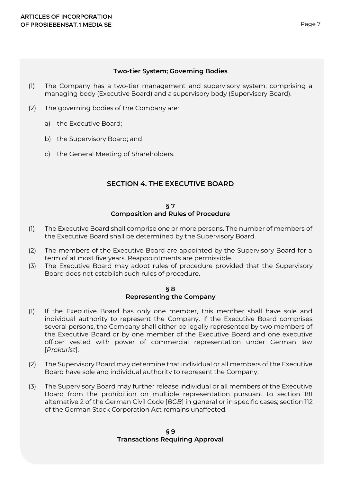#### **Two-tier System; Governing Bodies**

- (1) The Company has a two-tier management and supervisory system, comprising a managing body (Executive Board) and a supervisory body (Supervisory Board).
- (2) The governing bodies of the Company are:
	- a) the Executive Board;
	- b) the Supervisory Board; and
	- c) the General Meeting of Shareholders.

# **SECTION 4. THE EXECUTIVE BOARD**

#### **§ 7 Composition and Rules of Procedure**

- (1) The Executive Board shall comprise one or more persons. The number of members of the Executive Board shall be determined by the Supervisory Board.
- (2) The members of the Executive Board are appointed by the Supervisory Board for a term of at most five years. Reappointments are permissible.
- (3) The Executive Board may adopt rules of procedure provided that the Supervisory Board does not establish such rules of procedure.

#### **§ 8 Representing the Company**

- (1) If the Executive Board has only one member, this member shall have sole and individual authority to represent the Company. If the Executive Board comprises several persons, the Company shall either be legally represented by two members of the Executive Board or by one member of the Executive Board and one executive officer vested with power of commercial representation under German law [*Prokurist*].
- (2) The Supervisory Board may determine that individual or all members of the Executive Board have sole and individual authority to represent the Company.
- (3) The Supervisory Board may further release individual or all members of the Executive Board from the prohibition on multiple representation pursuant to section 181 alternative 2 of the German Civil Code [*BGB*] in general or in specific cases; section 112 of the German Stock Corporation Act remains unaffected.

#### **§ 9 Transactions Requiring Approval**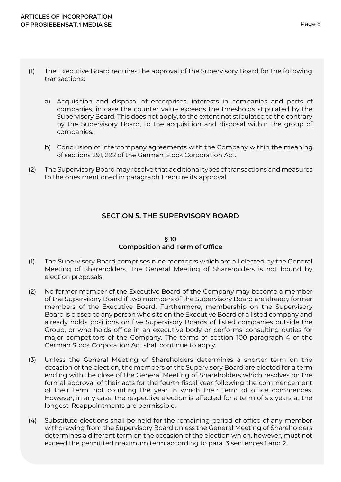- (1) The Executive Board requires the approval of the Supervisory Board for the following transactions:
	- a) Acquisition and disposal of enterprises, interests in companies and parts of companies, in case the counter value exceeds the thresholds stipulated by the Supervisory Board. This does not apply, to the extent not stipulated to the contrary by the Supervisory Board, to the acquisition and disposal within the group of companies.
	- b) Conclusion of intercompany agreements with the Company within the meaning of sections 291, 292 of the German Stock Corporation Act.
- (2) The Supervisory Board may resolve that additional types of transactions and measures to the ones mentioned in paragraph 1 require its approval.

# **SECTION 5. THE SUPERVISORY BOARD**

#### **§ 10 Composition and Term of Office**

- (1) The Supervisory Board comprises nine members which are all elected by the General Meeting of Shareholders. The General Meeting of Shareholders is not bound by election proposals.
- (2) No former member of the Executive Board of the Company may become a member of the Supervisory Board if two members of the Supervisory Board are already former members of the Executive Board. Furthermore, membership on the Supervisory Board is closed to any person who sits on the Executive Board of a listed company and already holds positions on five Supervisory Boards of listed companies outside the Group, or who holds office in an executive body or performs consulting duties for major competitors of the Company. The terms of section 100 paragraph 4 of the German Stock Corporation Act shall continue to apply.
- (3) Unless the General Meeting of Shareholders determines a shorter term on the occasion of the election, the members of the Supervisory Board are elected for a term ending with the close of the General Meeting of Shareholders which resolves on the formal approval of their acts for the fourth fiscal year following the commencement of their term, not counting the year in which their term of office commences. However, in any case, the respective election is effected for a term of six years at the longest. Reappointments are permissible.
- (4) Substitute elections shall be held for the remaining period of office of any member withdrawing from the Supervisory Board unless the General Meeting of Shareholders determines a different term on the occasion of the election which, however, must not exceed the permitted maximum term according to para. 3 sentences 1 and 2.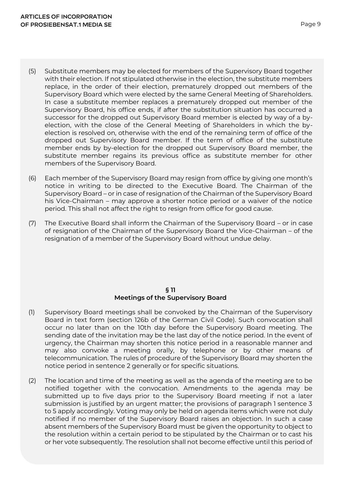- (5) Substitute members may be elected for members of the Supervisory Board together with their election. If not stipulated otherwise in the election, the substitute members replace, in the order of their election, prematurely dropped out members of the Supervisory Board which were elected by the same General Meeting of Shareholders. In case a substitute member replaces a prematurely dropped out member of the Supervisory Board, his office ends, if after the substitution situation has occurred a successor for the dropped out Supervisory Board member is elected by way of a byelection, with the close of the General Meeting of Shareholders in which the byelection is resolved on, otherwise with the end of the remaining term of office of the dropped out Supervisory Board member. If the term of office of the substitute member ends by by-election for the dropped out Supervisory Board member, the substitute member regains its previous office as substitute member for other members of the Supervisory Board.
- (6) Each member of the Supervisory Board may resign from office by giving one month's notice in writing to be directed to the Executive Board. The Chairman of the Supervisory Board – or in case of resignation of the Chairman of the Supervisory Board his Vice-Chairman – may approve a shorter notice period or a waiver of the notice period. This shall not affect the right to resign from office for good cause.
- (7) The Executive Board shall inform the Chairman of the Supervisory Board or in case of resignation of the Chairman of the Supervisory Board the Vice-Chairman – of the resignation of a member of the Supervisory Board without undue delay.

#### **§ 11 Meetings of the Supervisory Board**

- (1) Supervisory Board meetings shall be convoked by the Chairman of the Supervisory Board in text form (section 126b of the German Civil Code). Such convocation shall occur no later than on the 10th day before the Supervisory Board meeting. The sending date of the invitation may be the last day of the notice period. In the event of urgency, the Chairman may shorten this notice period in a reasonable manner and may also convoke a meeting orally, by telephone or by other means of telecommunication. The rules of procedure of the Supervisory Board may shorten the notice period in sentence 2 generally or for specific situations.
- (2) The location and time of the meeting as well as the agenda of the meeting are to be notified together with the convocation. Amendments to the agenda may be submitted up to five days prior to the Supervisory Board meeting if not a later submission is justified by an urgent matter; the provisions of paragraph 1 sentence 3 to 5 apply accordingly. Voting may only be held on agenda items which were not duly notified if no member of the Supervisory Board raises an objection. In such a case absent members of the Supervisory Board must be given the opportunity to object to the resolution within a certain period to be stipulated by the Chairman or to cast his or her vote subsequently. The resolution shall not become effective until this period of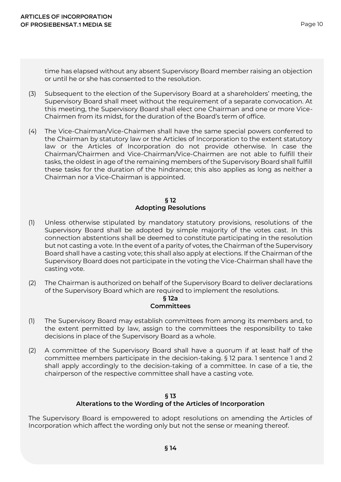time has elapsed without any absent Supervisory Board member raising an objection or until he or she has consented to the resolution.

- (3) Subsequent to the election of the Supervisory Board at a shareholders' meeting, the Supervisory Board shall meet without the requirement of a separate convocation. At this meeting, the Supervisory Board shall elect one Chairman and one or more Vice-Chairmen from its midst, for the duration of the Board's term of office.
- (4) The Vice-Chairman/Vice-Chairmen shall have the same special powers conferred to the Chairman by statutory law or the Articles of Incorporation to the extent statutory law or the Articles of Incorporation do not provide otherwise. In case the Chairman/Chairmen and Vice-Chairman/Vice-Chairmen are not able to fulfill their tasks, the oldest in age of the remaining members of the Supervisory Board shall fulfill these tasks for the duration of the hindrance; this also applies as long as neither a Chairman nor a Vice-Chairman is appointed.

# **§ 12 Adopting Resolutions**

- (1) Unless otherwise stipulated by mandatory statutory provisions, resolutions of the Supervisory Board shall be adopted by simple majority of the votes cast. In this connection abstentions shall be deemed to constitute participating in the resolution but not casting a vote. In the event of a parity of votes, the Chairman of the Supervisory Board shall have a casting vote; this shall also apply at elections. If the Chairman of the Supervisory Board does not participate in the voting the Vice-Chairman shall have the casting vote.
- (2) The Chairman is authorized on behalf of the Supervisory Board to deliver declarations of the Supervisory Board which are required to implement the resolutions.

#### **§ 12a Committees**

- (1) The Supervisory Board may establish committees from among its members and, to the extent permitted by law, assign to the committees the responsibility to take decisions in place of the Supervisory Board as a whole.
- (2) A committee of the Supervisory Board shall have a quorum if at least half of the committee members participate in the decision-taking. § 12 para. 1 sentence 1 and 2 shall apply accordingly to the decision-taking of a committee. In case of a tie, the chairperson of the respective committee shall have a casting vote.

# **§ 13 Alterations to the Wording of the Articles of Incorporation**

The Supervisory Board is empowered to adopt resolutions on amending the Articles of Incorporation which affect the wording only but not the sense or meaning thereof.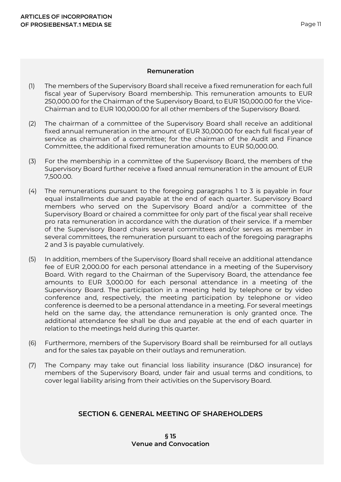#### **Remuneration**

- (1) The members of the Supervisory Board shall receive a fixed remuneration for each full fiscal year of Supervisory Board membership. This remuneration amounts to EUR 250,000.00 for the Chairman of the Supervisory Board, to EUR 150,000.00 for the Vice-Chairman and to EUR 100,000.00 for all other members of the Supervisory Board.
- (2) The chairman of a committee of the Supervisory Board shall receive an additional fixed annual remuneration in the amount of EUR 30,000.00 for each full fiscal year of service as chairman of a committee; for the chairman of the Audit and Finance Committee, the additional fixed remuneration amounts to EUR 50,000.00.
- (3) For the membership in a committee of the Supervisory Board, the members of the Supervisory Board further receive a fixed annual remuneration in the amount of EUR 7,500.00.
- (4) The remunerations pursuant to the foregoing paragraphs 1 to 3 is payable in four equal installments due and payable at the end of each quarter. Supervisory Board members who served on the Supervisory Board and/or a committee of the Supervisory Board or chaired a committee for only part of the fiscal year shall receive pro rata remuneration in accordance with the duration of their service. If a member of the Supervisory Board chairs several committees and/or serves as member in several committees, the remuneration pursuant to each of the foregoing paragraphs 2 and 3 is payable cumulatively.
- (5) In addition, members of the Supervisory Board shall receive an additional attendance fee of EUR 2,000.00 for each personal attendance in a meeting of the Supervisory Board. With regard to the Chairman of the Supervisory Board, the attendance fee amounts to EUR 3,000.00 for each personal attendance in a meeting of the Supervisory Board. The participation in a meeting held by telephone or by video conference and, respectively, the meeting participation by telephone or video conference is deemed to be a personal attendance in a meeting. For several meetings held on the same day, the attendance remuneration is only granted once. The additional attendance fee shall be due and payable at the end of each quarter in relation to the meetings held during this quarter.
- (6) Furthermore, members of the Supervisory Board shall be reimbursed for all outlays and for the sales tax payable on their outlays and remuneration.
- (7) The Company may take out financial loss liability insurance (D&O insurance) for members of the Supervisory Board, under fair and usual terms and conditions, to cover legal liability arising from their activities on the Supervisory Board.

# **SECTION 6. GENERAL MEETING OF SHAREHOLDERS**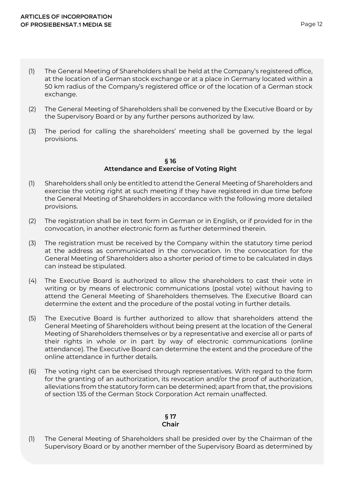- (1) The General Meeting of Shareholders shall be held at the Company's registered office, at the location of a German stock exchange or at a place in Germany located within a 50 km radius of the Company's registered office or of the location of a German stock exchange.
- (2) The General Meeting of Shareholders shall be convened by the Executive Board or by the Supervisory Board or by any further persons authorized by law.
- (3) The period for calling the shareholders' meeting shall be governed by the legal provisions.

#### **§ 16 Attendance and Exercise of Voting Right**

- (1) Shareholders shall only be entitled to attend the General Meeting of Shareholders and exercise the voting right at such meeting if they have registered in due time before the General Meeting of Shareholders in accordance with the following more detailed provisions.
- (2) The registration shall be in text form in German or in English, or if provided for in the convocation, in another electronic form as further determined therein.
- (3) The registration must be received by the Company within the statutory time period at the address as communicated in the convocation. In the convocation for the General Meeting of Shareholders also a shorter period of time to be calculated in days can instead be stipulated.
- (4) The Executive Board is authorized to allow the shareholders to cast their vote in writing or by means of electronic communications (postal vote) without having to attend the General Meeting of Shareholders themselves. The Executive Board can determine the extent and the procedure of the postal voting in further details.
- (5) The Executive Board is further authorized to allow that shareholders attend the General Meeting of Shareholders without being present at the location of the General Meeting of Shareholders themselves or by a representative and exercise all or parts of their rights in whole or in part by way of electronic communications (online attendance). The Executive Board can determine the extent and the procedure of the online attendance in further details.
- (6) The voting right can be exercised through representatives. With regard to the form for the granting of an authorization, its revocation and/or the proof of authorization, alleviations from the statutory form can be determined; apart from that, the provisions of section 135 of the German Stock Corporation Act remain unaffected.

#### **§ 17 Chair**

(1) The General Meeting of Shareholders shall be presided over by the Chairman of the Supervisory Board or by another member of the Supervisory Board as determined by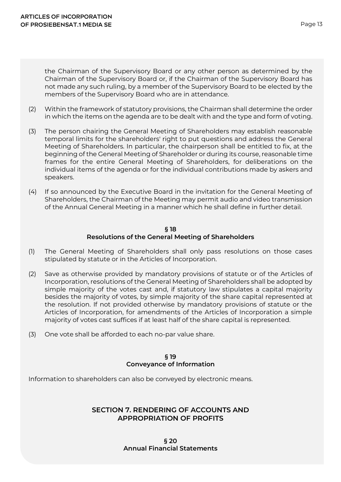the Chairman of the Supervisory Board or any other person as determined by the Chairman of the Supervisory Board or, if the Chairman of the Supervisory Board has not made any such ruling, by a member of the Supervisory Board to be elected by the members of the Supervisory Board who are in attendance.

- (2) Within the framework of statutory provisions, the Chairman shall determine the order in which the items on the agenda are to be dealt with and the type and form of voting.
- (3) The person chairing the General Meeting of Shareholders may establish reasonable temporal limits for the shareholders' right to put questions and address the General Meeting of Shareholders. In particular, the chairperson shall be entitled to fix, at the beginning of the General Meeting of Shareholder or during its course, reasonable time frames for the entire General Meeting of Shareholders, for deliberations on the individual items of the agenda or for the individual contributions made by askers and speakers.
- (4) If so announced by the Executive Board in the invitation for the General Meeting of Shareholders, the Chairman of the Meeting may permit audio and video transmission of the Annual General Meeting in a manner which he shall define in further detail.

#### **§ 18 Resolutions of the General Meeting of Shareholders**

- (1) The General Meeting of Shareholders shall only pass resolutions on those cases stipulated by statute or in the Articles of Incorporation.
- (2) Save as otherwise provided by mandatory provisions of statute or of the Articles of Incorporation, resolutions of the General Meeting of Shareholders shall be adopted by simple majority of the votes cast and, if statutory law stipulates a capital majority besides the majority of votes, by simple majority of the share capital represented at the resolution. If not provided otherwise by mandatory provisions of statute or the Articles of Incorporation, for amendments of the Articles of Incorporation a simple majority of votes cast suffices if at least half of the share capital is represented.
- (3) One vote shall be afforded to each no-par value share.

#### **§ 19 Conveyance of Information**

Information to shareholders can also be conveyed by electronic means.

# **SECTION 7. RENDERING OF ACCOUNTS AND APPROPRIATION OF PROFITS**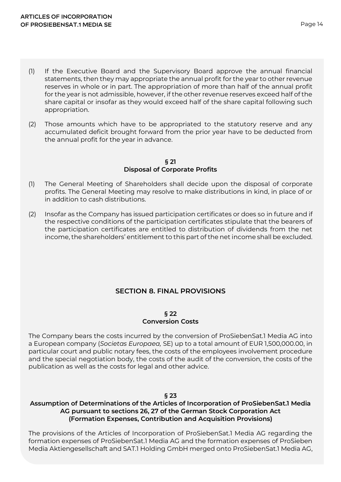- (1) If the Executive Board and the Supervisory Board approve the annual financial statements, then they may appropriate the annual profit for the year to other revenue reserves in whole or in part. The appropriation of more than half of the annual profit for the year is not admissible, however, if the other revenue reserves exceed half of the share capital or insofar as they would exceed half of the share capital following such appropriation.
- (2) Those amounts which have to be appropriated to the statutory reserve and any accumulated deficit brought forward from the prior year have to be deducted from the annual profit for the year in advance.

#### **§ 21 Disposal of Corporate Profits**

- (1) The General Meeting of Shareholders shall decide upon the disposal of corporate profits. The General Meeting may resolve to make distributions in kind, in place of or in addition to cash distributions.
- (2) Insofar as the Company has issued participation certificates or does so in future and if the respective conditions of the participation certificates stipulate that the bearers of the participation certificates are entitled to distribution of dividends from the net income, the shareholders' entitlement to this part of the net income shall be excluded.

# **SECTION 8. FINAL PROVISIONS**

#### **§ 22 Conversion Costs**

The Company bears the costs incurred by the conversion of ProSiebenSat.1 Media AG into a European company (*Societas Europaea,* SE) up to a total amount of EUR 1,500,000.00, in particular court and public notary fees, the costs of the employees involvement procedure and the special negotiation body, the costs of the audit of the conversion, the costs of the publication as well as the costs for legal and other advice.

#### **§ 23**

# **Assumption of Determinations of the Articles of Incorporation of ProSiebenSat.1 Media AG pursuant to sections 26, 27 of the German Stock Corporation Act (Formation Expenses, Contribution and Acquisition Provisions)**

The provisions of the Articles of Incorporation of ProSiebenSat.1 Media AG regarding the formation expenses of ProSiebenSat.1 Media AG and the formation expenses of ProSieben Media Aktiengesellschaft and SAT.1 Holding GmbH merged onto ProSiebenSat.1 Media AG,